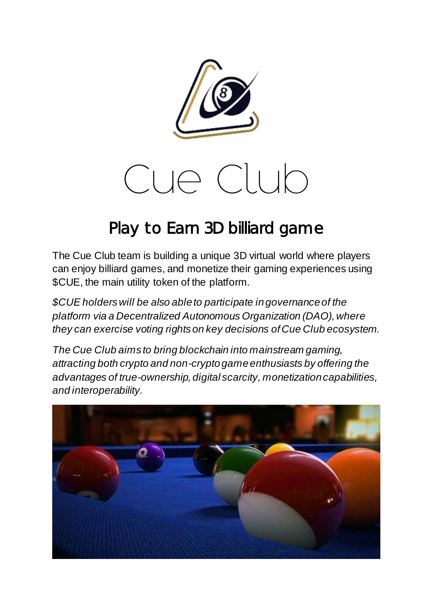

# Cue Club

#### Play to Earn 3D billiard game

The Cue Club team is building a unique 3D virtual world where players can enjoy billiard games, and monetize their gaming experiences using \$CUE, the main utility token of the platform.

*\$CUE holders will be also able to participate in governance of the platform via a Decentralized Autonomous Organization (DAO), where they can exercise voting rights on key decisions of Cue Club ecosystem.*

*The Cue Club aims to bring blockchain into mainstream gaming, attracting both crypto and non-crypto game enthusiasts by offering the advantages of true-ownership, digital scarcity, monetization capabilities, and interoperability.*

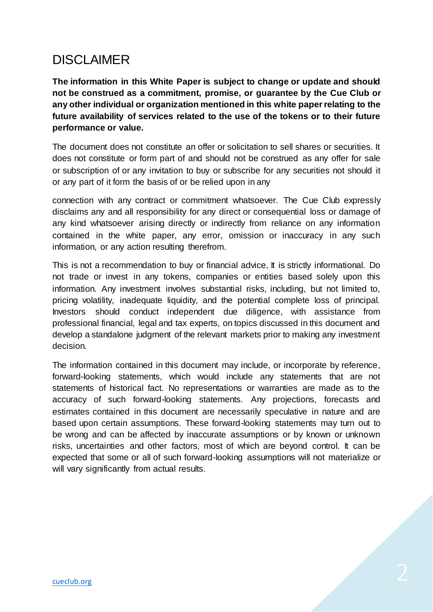#### DISCLAIMER

**The information in this White Paper is subject to change or update and should not be construed as a commitment, promise, or guarantee by the Cue Club or any other individual or organization mentioned in this white paper relating to the future availability of services related to the use of the tokens or to their future performance or value.**

The document does not constitute an offer or solicitation to sell shares or securities. It does not constitute or form part of and should not be construed as any offer for sale or subscription of or any invitation to buy or subscribe for any securities not should it or any part of it form the basis of or be relied upon in any

connection with any contract or commitment whatsoever. The Cue Club expressly disclaims any and all responsibility for any direct or consequential loss or damage of any kind whatsoever arising directly or indirectly from reliance on any information contained in the white paper, any error, omission or inaccuracy in any such information, or any action resulting therefrom.

This is not a recommendation to buy or financial advice, It is strictly informational. Do not trade or invest in any tokens, companies or entities based solely upon this information. Any investment involves substantial risks, including, but not limited to, pricing volatility, inadequate liquidity, and the potential complete loss of principal. Investors should conduct independent due diligence, with assistance from professional financial, legal and tax experts, on topics discussed in this document and develop a standalone judgment of the relevant markets prior to making any investment decision.

The information contained in this document may include, or incorporate by reference, forward-looking statements, which would include any statements that are not statements of historical fact. No representations or warranties are made as to the accuracy of such forward-looking statements. Any projections, forecasts and estimates contained in this document are necessarily speculative in nature and are based upon certain assumptions. These forward-looking statements may turn out to be wrong and can be affected by inaccurate assumptions or by known or unknown risks, uncertainties and other factors, most of which are beyond control. It can be expected that some or all of such forward-looking assumptions will not materialize or will vary significantly from actual results.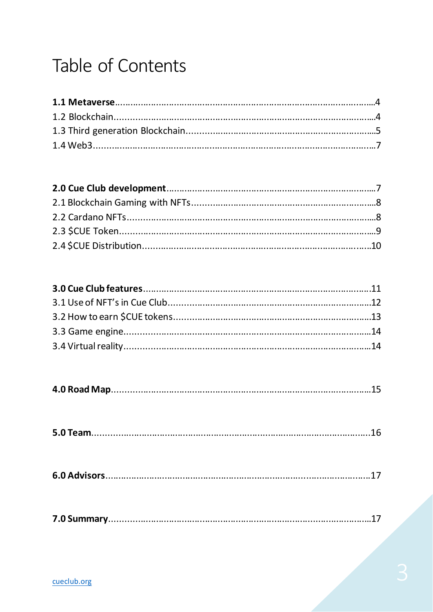#### Table of Contents

|--|

|--|

|--|

|--|--|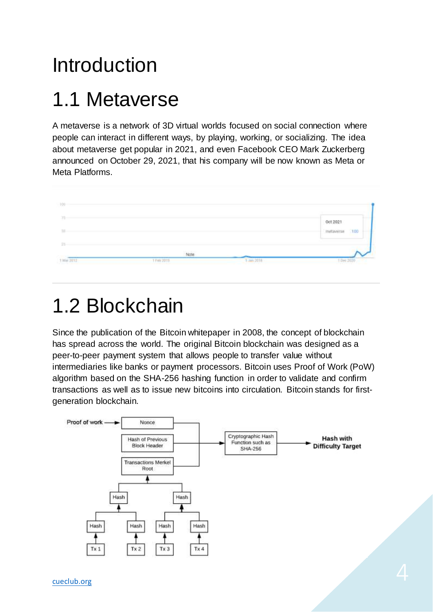### Introduction

#### 1.1 Metaverse

A metaverse is a network of 3D virtual worlds focused on social connection where people can interact in different ways, by playing, working, or socializing. The idea about metaverse get popular in 2021, and even Facebook CEO Mark Zuckerberg announced on October 29, 2021, that his company will be now known as Meta or Meta Platforms.



### 1.2 Blockchain

Since the publication of the Bitcoin whitepaper in 2008, the concept of blockchain has spread across the world. The original Bitcoin blockchain was designed as a peer-to-peer payment system that allows people to transfer value without intermediaries like banks or payment processors. Bitcoin uses Proof of Work (PoW) algorithm based on the SHA-256 hashing function in order to validate and confirm transactions as well as to issue new bitcoins into circulation. Bitcoin stands for firstgeneration blockchain.

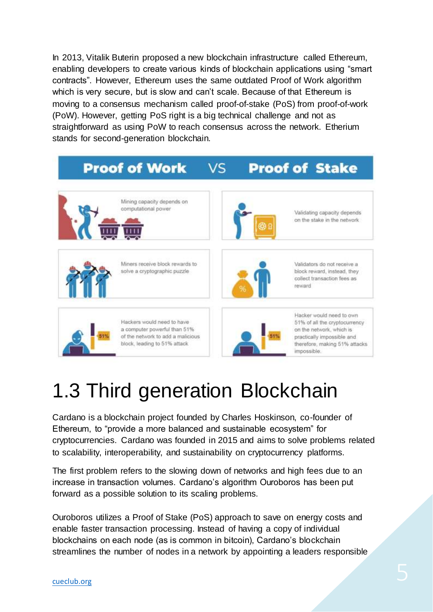In 2013, Vitalik Buterin proposed a new blockchain infrastructure called Ethereum, enabling developers to create various kinds of blockchain applications using "smart contracts". However, Ethereum uses the same outdated Proof of Work algorithm which is very secure, but is slow and can't scale. Because of that Ethereum is moving to a consensus mechanism called proof-of-stake (PoS) from proof-of-work (PoW). However, getting PoS right is a big technical challenge and not as straightforward as using PoW to reach consensus across the network. Etherium stands for second-generation blockchain.

#### **Proof of Work Proof of Stake** VS



## 1.3 Third generation Blockchain

Cardano is a blockchain project founded by Charles Hoskinson, co-founder of Ethereum, to "provide a more balanced and sustainable ecosystem" for cryptocurrencies. Cardano was founded in 2015 and aims to solve problems related to scalability, interoperability, and sustainability on cryptocurrency platforms.

The first problem refers to the slowing down of networks and high fees due to an increase in transaction volumes. Cardano's algorithm Ouroboros has been put forward as a possible solution to its scaling problems.

Ouroboros utilizes a Proof of Stake (PoS) approach to save on energy costs and enable faster transaction processing. Instead of having a copy of individual blockchains on each node (as is common in bitcoin), Cardano's blockchain streamlines the number of nodes in a network by appointing a leaders responsible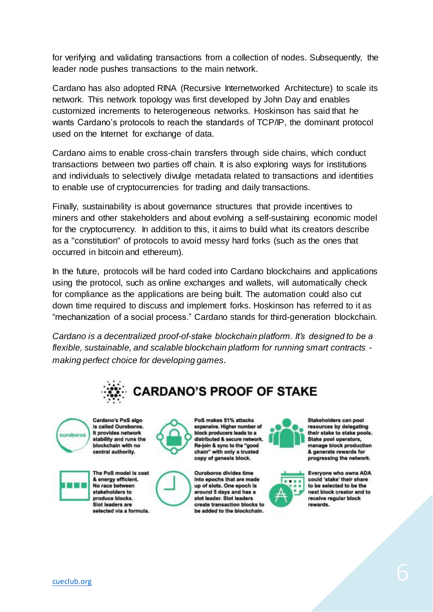for verifying and validating transactions from a collection of nodes. Subsequently, the leader node pushes transactions to the main network.

Cardano has also adopted RINA (Recursive Internetworked Architecture) to scale its network. This network topology was first developed by John Day and enables customized increments to heterogeneous networks. Hoskinson has said that he wants Cardano's protocols to reach the standards of TCP/IP, the dominant protocol used on the Internet for exchange of data.

Cardano aims to enable cross-chain transfers through side chains, which conduct transactions between two parties off chain. It is also exploring ways for institutions and individuals to selectively divulge metadata related to transactions and identities to enable use of cryptocurrencies for trading and daily transactions.

Finally, sustainability is about governance structures that provide incentives to miners and other stakeholders and about evolving a self-sustaining economic model for the cryptocurrency. In addition to this, it aims to build what its creators describe as a "constitution" of protocols to avoid messy hard forks (such as the ones that occurred in bitcoin and ethereum).

In the future, protocols will be hard coded into Cardano blockchains and applications using the protocol, such as online exchanges and wallets, will automatically check for compliance as the applications are being built. The automation could also cut down time required to discuss and implement forks. Hoskinson has referred to it as "mechanization of a social process." Cardano stands for third-generation blockchain.

*Cardano is a decentralized proof-of-stake blockchain platform. It's designed to be a flexible, sustainable, and scalable blockchain platform for running smart contracts making perfect choice for developing games.*





Cardano's PoS algo is called Ouroboros. It provides network stability and runs the blockchain with no central authority.



The PoS model is cost



PoS makes 51% attacks expensive. Higher number of block producers leads to a distributed & secure network. Re-join & sync to the "good chain" with only a trusted copy of genesis block.

Ouroboros divides time into epochs that are made up of slots. One epoch is around 5 days and has a slot leader. Slot leaders create transaction blocks to be added to the blockchain.



Stakeholders can pool resources by delegating their stake to stake pools. Stake pool operators, manage block production & generate rewards for progressing the network.



Everyone who owns ADA could 'stake' their share to be selected to be the next block creator and to receive regular block rewards.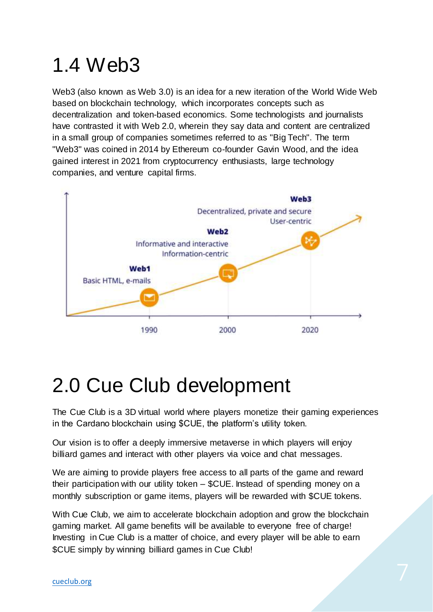### 1.4 Web3

Web3 (also known as Web 3.0) is an idea for a new iteration of the World Wide Web based on blockchain technology, which incorporates concepts such as decentralization and token-based economics. Some technologists and journalists have contrasted it with Web 2.0, wherein they say data and content are centralized in a small group of companies sometimes referred to as "Big Tech". The term "Web3" was coined in 2014 by Ethereum co-founder Gavin Wood, and the idea gained interest in 2021 from cryptocurrency enthusiasts, large technology companies, and venture capital firms.



#### 2.0 Cue Club development

The Cue Club is a 3D virtual world where players monetize their gaming experiences in the Cardano blockchain using \$CUE, the platform's utility token.

Our vision is to offer a deeply immersive metaverse in which players will enjoy billiard games and interact with other players via voice and chat messages.

We are aiming to provide players free access to all parts of the game and reward their participation with our utility token – \$CUE. Instead of spending money on a monthly subscription or game items, players will be rewarded with \$CUE tokens.

With Cue Club, we aim to accelerate blockchain adoption and grow the blockchain gaming market. All game benefits will be available to everyone free of charge! Investing in Cue Club is a matter of choice, and every player will be able to earn \$CUE simply by winning billiard games in Cue Club!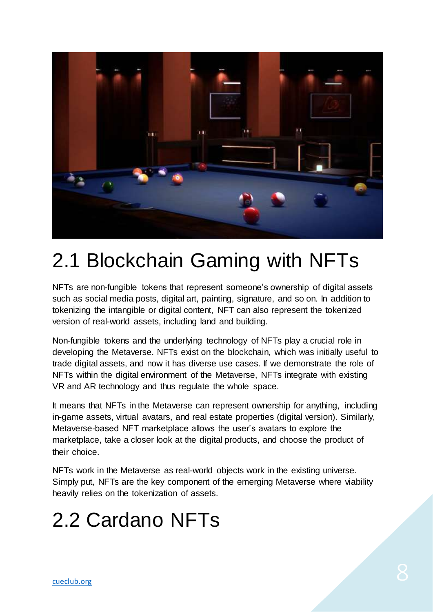

#### 2.1 Blockchain Gaming with NFTs

NFTs are non-fungible tokens that represent someone's ownership of digital assets such as social media posts, digital art, painting, signature, and so on. In addition to tokenizing the intangible or digital content, NFT can also represent the tokenized version of real-world assets, including land and building.

Non-fungible tokens and the underlying technology of NFTs play a crucial role in developing the Metaverse. NFTs exist on the blockchain, which was initially useful to trade digital assets, and now it has diverse use cases. If we demonstrate the role of NFTs within the digital environment of the Metaverse, NFTs integrate with existing VR and AR technology and thus regulate the whole space.

It means that NFTs in the Metaverse can represent ownership for anything, including in-game assets, virtual avatars, and real estate properties (digital version). Similarly, Metaverse-based NFT marketplace allows the user's avatars to explore the marketplace, take a closer look at the digital products, and choose the product of their choice.

NFTs work in the Metaverse as real-world objects work in the existing universe. Simply put, NFTs are the key component of the emerging Metaverse where viability heavily relies on the tokenization of assets.

### 2.2 Cardano NFTs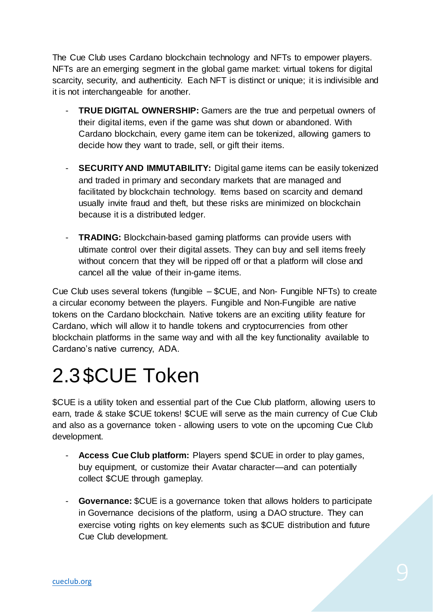The Cue Club uses Cardano blockchain technology and NFTs to empower players. NFTs are an emerging segment in the global game market: virtual tokens for digital scarcity, security, and authenticity. Each NFT is distinct or unique; it is indivisible and it is not interchangeable for another.

- **TRUE DIGITAL OWNERSHIP:** Gamers are the true and perpetual owners of their digital items, even if the game was shut down or abandoned. With Cardano blockchain, every game item can be tokenized, allowing gamers to decide how they want to trade, sell, or gift their items.
- **SECURITY AND IMMUTABILITY:** Digital game items can be easily tokenized and traded in primary and secondary markets that are managed and facilitated by blockchain technology. Items based on scarcity and demand usually invite fraud and theft, but these risks are minimized on blockchain because it is a distributed ledger.
- **TRADING:** Blockchain-based gaming platforms can provide users with ultimate control over their digital assets. They can buy and sell items freely without concern that they will be ripped off or that a platform will close and cancel all the value of their in-game items.

Cue Club uses several tokens (fungible – \$CUE, and Non- Fungible NFTs) to create a circular economy between the players. Fungible and Non-Fungible are native tokens on the Cardano blockchain. Native tokens are an exciting utility feature for Cardano, which will allow it to handle tokens and cryptocurrencies from other blockchain platforms in the same way and with all the key functionality available to Cardano's native currency, ADA.

### 2.3\$CUE Token

\$CUE is a utility token and essential part of the Cue Club platform, allowing users to earn, trade & stake \$CUE tokens! \$CUE will serve as the main currency of Cue Club and also as a governance token - allowing users to vote on the upcoming Cue Club development.

- **Access Cue Club platform:** Players spend \$CUE in order to play games, buy equipment, or customize their Avatar character—and can potentially collect \$CUE through gameplay.
- **Governance:** \$CUE is a governance token that allows holders to participate in Governance decisions of the platform, using a DAO structure. They can exercise voting rights on key elements such as \$CUE distribution and future Cue Club development.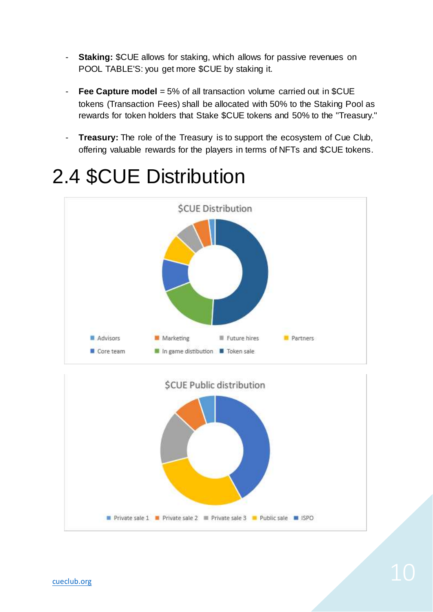- **Staking:** \$CUE allows for staking, which allows for passive revenues on POOL TABLE'S: you get more \$CUE by staking it.
- **Fee Capture model** = 5% of all transaction volume carried out in \$CUE tokens (Transaction Fees) shall be allocated with 50% to the Staking Pool as rewards for token holders that Stake \$CUE tokens and 50% to the ''Treasury.''
- **Treasury:** The role of the Treasury is to support the ecosystem of Cue Club, offering valuable rewards for the players in terms of NFTs and \$CUE tokens.

# **SCUE Distribution** Advisors Partners Marketing Future hires Core team In game distibution I Token sale



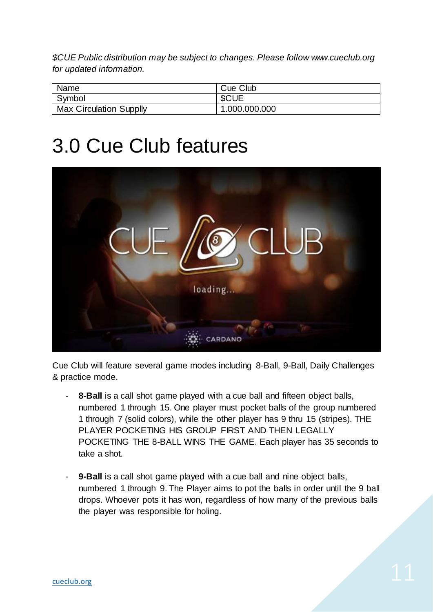*\$CUE Public distribution may be subject to changes. Please follow www.cueclub.org for updated information.*

| Name                           | Cue Club      |
|--------------------------------|---------------|
| Symbol                         | <b>SCUE</b>   |
| <b>Max Circulation Supplly</b> | 1.000.000.000 |

#### 3.0 Cue Club features



Cue Club will feature several game modes including 8-Ball, 9-Ball, Daily Challenges & practice mode.

- **8-Ball** is a call shot game played with a cue ball and fifteen object balls, numbered 1 through 15. One player must pocket balls of the group numbered 1 through 7 (solid colors), while the other player has 9 thru 15 (stripes). THE PLAYER POCKETING HIS GROUP FIRST AND THEN LEGALLY POCKETING THE 8-BALL WINS THE GAME. Each player has 35 seconds to take a shot.
- **9-Ball** is a call shot game played with a cue ball and nine object balls, numbered 1 through 9. The Player aims to pot the balls in order until the 9 ball drops. Whoever pots it has won, regardless of how many of the previous balls the player was responsible for holing.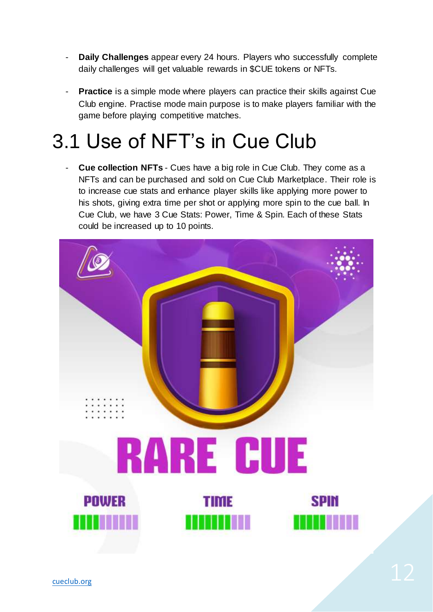- **Daily Challenges** appear every 24 hours. Players who successfully complete daily challenges will get valuable rewards in \$CUE tokens or NFTs.
- **Practice** is a simple mode where players can practice their skills against Cue Club engine. Practise mode main purpose is to make players familiar with the game before playing competitive matches.

### 3.1 Use of NFT's in Cue Club

- **Cue collection NFTs** - Cues have a big role in Cue Club. They come as a NFTs and can be purchased and sold on Cue Club Marketplace. Their role is to increase cue stats and enhance player skills like applying more power to his shots, giving extra time per shot or applying more spin to the cue ball. In Cue Club, we have 3 Cue Stats: Power, Time & Spin. Each of these Stats could be increased up to 10 points.

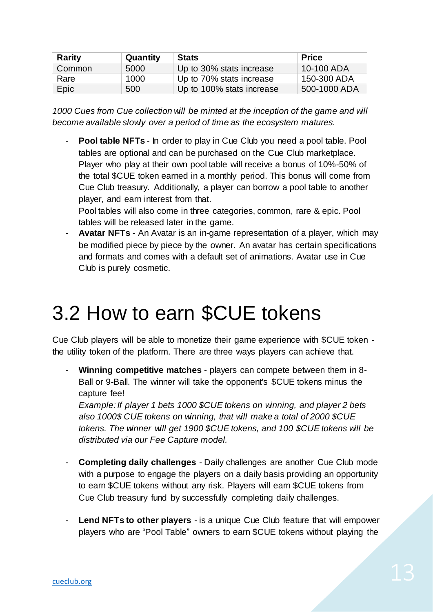| Rarity | Quantity | <b>Stats</b>              | <b>Price</b> |
|--------|----------|---------------------------|--------------|
| Common | 5000     | Up to 30% stats increase  | 10-100 ADA   |
| Rare   | 1000     | Up to 70% stats increase  | 150-300 ADA  |
| Epic   | 500      | Up to 100% stats increase | 500-1000 ADA |

*1000 Cues from Cue collection will be minted at the inception of the game and will become available slowly over a period of time as the ecosystem matures.*

**Pool table NFTs** - In order to play in Cue Club you need a pool table. Pool tables are optional and can be purchased on the Cue Club marketplace. Player who play at their own pool table will receive a bonus of 10%-50% of the total \$CUE token earned in a monthly period. This bonus will come from Cue Club treasury. Additionally, a player can borrow a pool table to another player, and earn interest from that.

Pool tables will also come in three categories, common, rare & epic. Pool tables will be released later in the game.

- **Avatar NFTs** - An Avatar is an in-game representation of a player, which may be modified piece by piece by the owner. An avatar has certain specifications and formats and comes with a default set of animations. Avatar use in Cue Club is purely cosmetic.

### 3.2 How to earn \$CUE tokens

Cue Club players will be able to monetize their game experience with \$CUE token the utility token of the platform. There are three ways players can achieve that.

- **Winning competitive matches** - players can compete between them in 8- Ball or 9-Ball. The winner will take the opponent's \$CUE tokens minus the capture fee!

*Example: If player 1 bets 1000 \$CUE tokens on winning, and player 2 bets also 1000\$ CUE tokens on winning, that will make a total of 2000 \$CUE tokens. The winner will get 1900 \$CUE tokens, and 100 \$CUE tokens will be distributed via our Fee Capture model.*

- **Completing daily challenges** Daily challenges are another Cue Club mode with a purpose to engage the players on a daily basis providing an opportunity to earn \$CUE tokens without any risk. Players will earn \$CUE tokens from Cue Club treasury fund by successfully completing daily challenges.
- **Lend NFTs to other players** is a unique Cue Club feature that will empower players who are "Pool Table" owners to earn \$CUE tokens without playing the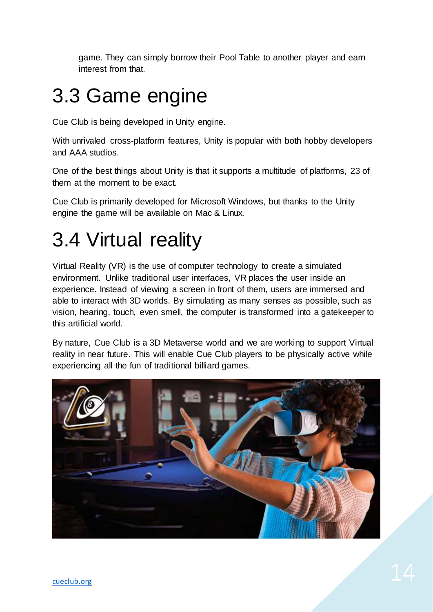game. They can simply borrow their Pool Table to another player and earn interest from that.

### 3.3 Game engine

Cue Club is being developed in Unity engine.

With unrivaled cross-platform features, Unity is popular with both hobby developers and AAA studios.

One of the best things about Unity is that it supports a multitude of platforms, 23 of them at the moment to be exact.

Cue Club is primarily developed for Microsoft Windows, but thanks to the Unity engine the game will be available on Mac & Linux.

### 3.4 Virtual reality

Virtual Reality (VR) is the use of computer technology to create a simulated environment. Unlike traditional user interfaces, VR places the user inside an experience. Instead of viewing a screen in front of them, users are immersed and able to interact with 3D worlds. By simulating as many senses as possible, such as vision, hearing, touch, even smell, the computer is transformed into a gatekeeper to this artificial world.

By nature, Cue Club is a 3D Metaverse world and we are working to support Virtual reality in near future. This will enable Cue Club players to be physically active while experiencing all the fun of traditional billiard games.

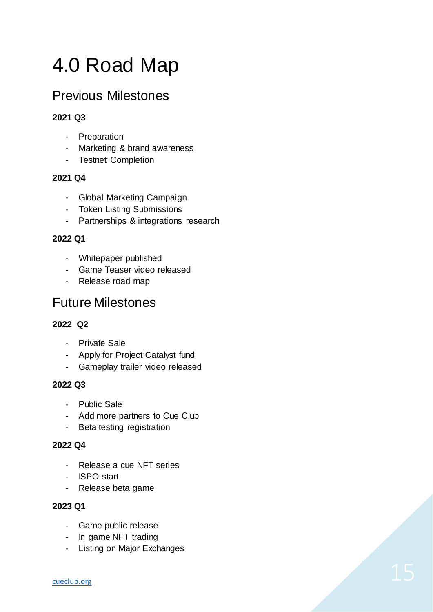### 4.0 Road Map

#### Previous Milestones

#### **2021 Q3**

- Preparation
- Marketing & brand awareness
- Testnet Completion

#### **2021 Q4**

- Global Marketing Campaign
- Token Listing Submissions
- Partnerships & integrations research

#### **2022 Q1**

- Whitepaper published
- Game Teaser video released
- Release road map

#### Future Milestones

#### **2022 Q2**

- Private Sale
- Apply for Project Catalyst fund
- Gameplay trailer video released

#### **2022 Q3**

- Public Sale
- Add more partners to Cue Club
- Beta testing registration

#### **2022 Q4**

- Release a cue NFT series
- ISPO start
- Release beta game

#### **2023 Q1**

- Game public release
- In game NFT trading
- Listing on Major Exchanges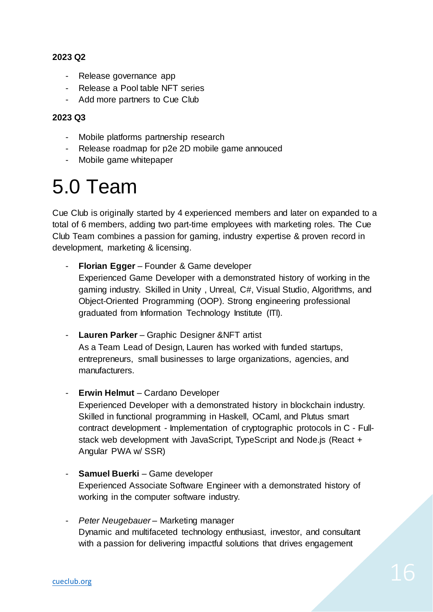#### **2023 Q2**

- Release governance app
- Release a Pool table NFT series
- Add more partners to Cue Club

#### **2023 Q3**

- Mobile platforms partnership research
- Release roadmap for p2e 2D mobile game annouced
- Mobile game whitepaper

#### 5.0 Team

Cue Club is originally started by 4 experienced members and later on expanded to a total of 6 members, adding two part-time employees with marketing roles. The Cue Club Team combines a passion for gaming, industry expertise & proven record in development, marketing & licensing.

- **Florian Egger** Founder & Game developer Experienced Game Developer with a demonstrated history of working in the gaming industry. Skilled in Unity , Unreal, C#, Visual Studio, Algorithms, and Object-Oriented Programming (OOP). Strong engineering professional graduated from Information Technology Institute (ITI).
- **Lauren Parker** Graphic Designer &NFT artist As a Team Lead of Design, Lauren has worked with funded startups, entrepreneurs, small businesses to large organizations, agencies, and manufacturers.
- **Erwin Helmut** Cardano Developer Experienced Developer with a demonstrated history in blockchain industry. Skilled in functional programming in Haskell, OCaml, and Plutus smart contract development - Implementation of cryptographic protocols in C - Fullstack web development with JavaScript, TypeScript and Node.js (React + Angular PWA w/ SSR)
- **Samuel Buerki** Game developer Experienced Associate Software Engineer with a demonstrated history of working in the computer software industry.
- *Peter Neugebauer* Marketing manager Dynamic and multifaceted technology enthusiast, investor, and consultant with a passion for delivering impactful solutions that drives engagement